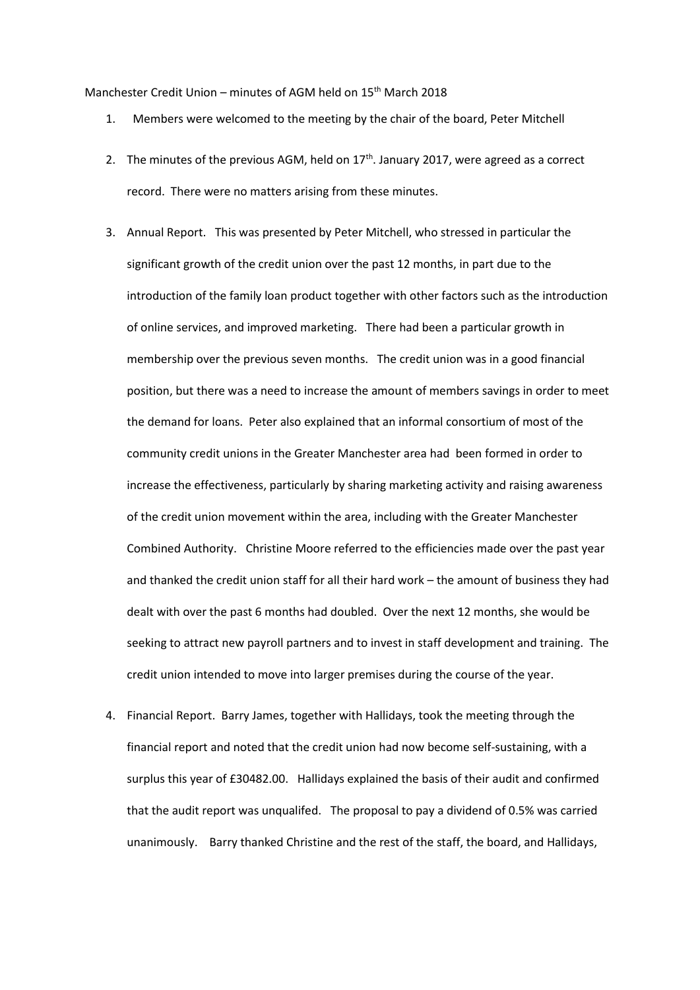Manchester Credit Union – minutes of AGM held on  $15<sup>th</sup>$  March 2018

- 1. Members were welcomed to the meeting by the chair of the board, Peter Mitchell
- 2. The minutes of the previous AGM, held on  $17<sup>th</sup>$ . January 2017, were agreed as a correct record. There were no matters arising from these minutes.
- 3. Annual Report. This was presented by Peter Mitchell, who stressed in particular the significant growth of the credit union over the past 12 months, in part due to the introduction of the family loan product together with other factors such as the introduction of online services, and improved marketing. There had been a particular growth in membership over the previous seven months. The credit union was in a good financial position, but there was a need to increase the amount of members savings in order to meet the demand for loans. Peter also explained that an informal consortium of most of the community credit unions in the Greater Manchester area had been formed in order to increase the effectiveness, particularly by sharing marketing activity and raising awareness of the credit union movement within the area, including with the Greater Manchester Combined Authority. Christine Moore referred to the efficiencies made over the past year and thanked the credit union staff for all their hard work – the amount of business they had dealt with over the past 6 months had doubled. Over the next 12 months, she would be seeking to attract new payroll partners and to invest in staff development and training. The credit union intended to move into larger premises during the course of the year.
- 4. Financial Report. Barry James, together with Hallidays, took the meeting through the financial report and noted that the credit union had now become self-sustaining, with a surplus this year of £30482.00. Hallidays explained the basis of their audit and confirmed that the audit report was unqualifed. The proposal to pay a dividend of 0.5% was carried unanimously. Barry thanked Christine and the rest of the staff, the board, and Hallidays,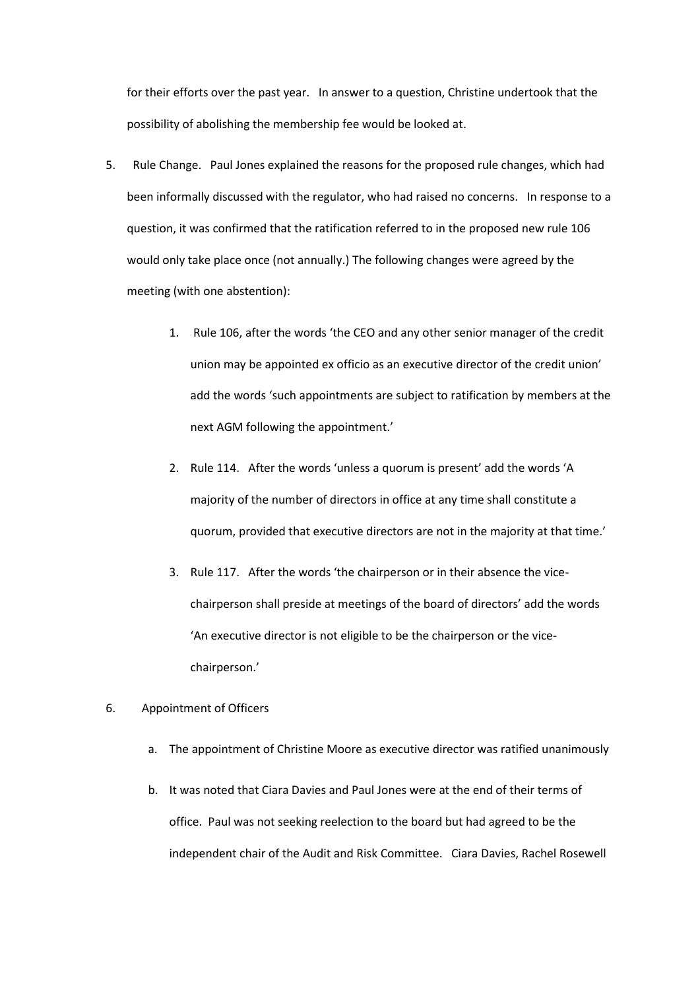for their efforts over the past year. In answer to a question, Christine undertook that the possibility of abolishing the membership fee would be looked at.

- 5. Rule Change. Paul Jones explained the reasons for the proposed rule changes, which had been informally discussed with the regulator, who had raised no concerns. In response to a question, it was confirmed that the ratification referred to in the proposed new rule 106 would only take place once (not annually.) The following changes were agreed by the meeting (with one abstention):
	- 1. Rule 106, after the words 'the CEO and any other senior manager of the credit union may be appointed ex officio as an executive director of the credit union' add the words 'such appointments are subject to ratification by members at the next AGM following the appointment.'
	- 2. Rule 114. After the words 'unless a quorum is present' add the words 'A majority of the number of directors in office at any time shall constitute a quorum, provided that executive directors are not in the majority at that time.'
	- 3. Rule 117. After the words 'the chairperson or in their absence the vicechairperson shall preside at meetings of the board of directors' add the words 'An executive director is not eligible to be the chairperson or the vicechairperson.'

## 6. Appointment of Officers

- a. The appointment of Christine Moore as executive director was ratified unanimously
- b. It was noted that Ciara Davies and Paul Jones were at the end of their terms of office. Paul was not seeking reelection to the board but had agreed to be the independent chair of the Audit and Risk Committee. Ciara Davies, Rachel Rosewell